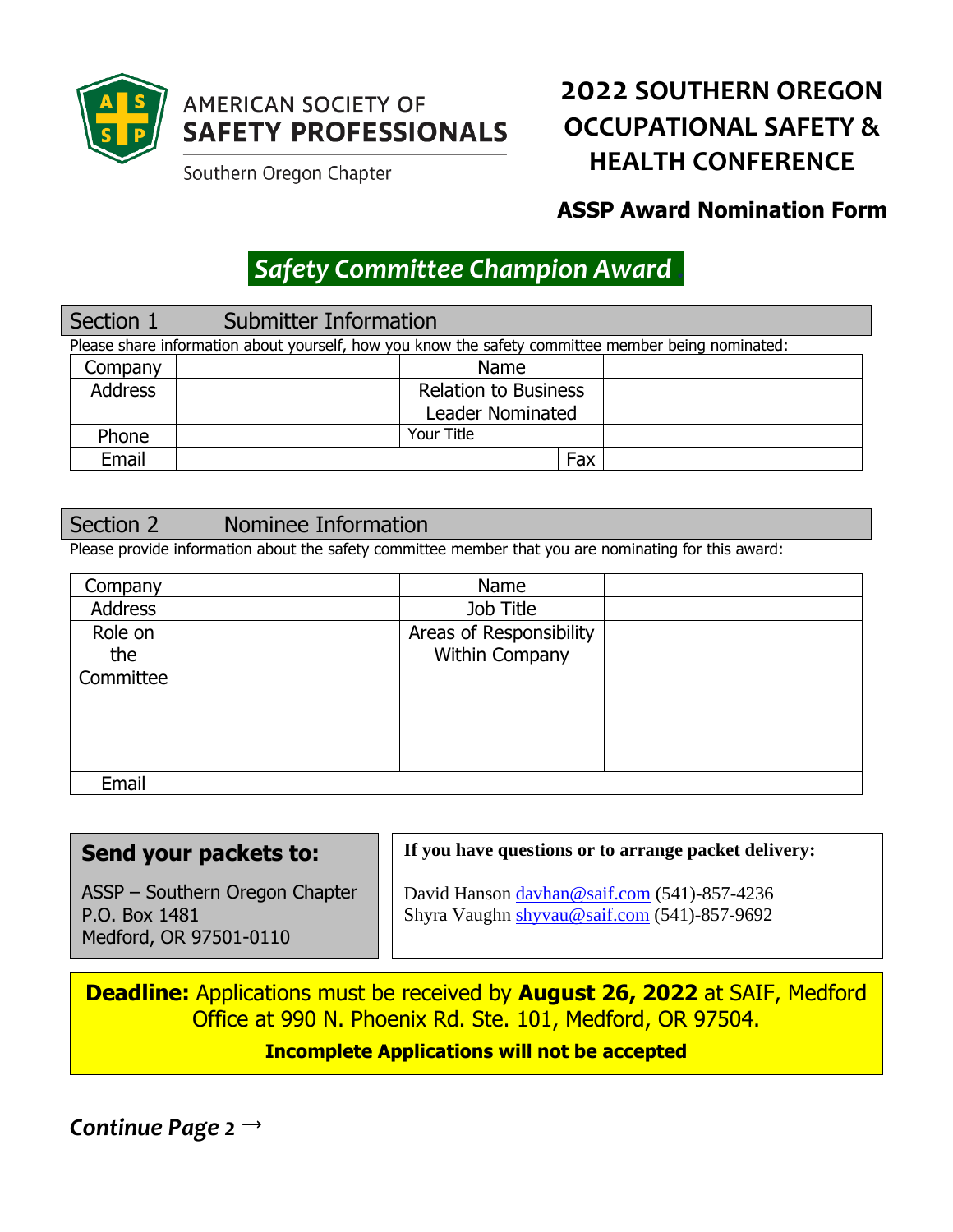

## **AMERICAN SOCIETY OF SAFETY PROFESSIONALS**

Southern Oregon Chapter

# **2022 SOUTHERN OREGON OCCUPATIONAL SAFETY & HEALTH CONFERENCE**

## **ASSP Award Nomination Form**

# *Safety Committee Champion Award .*

## Section 1 Submitter Information

| Please share information about yourself, how you know the safety committee member being nominated: |  |                             |  |  |
|----------------------------------------------------------------------------------------------------|--|-----------------------------|--|--|
| Company                                                                                            |  | Name                        |  |  |
| <b>Address</b>                                                                                     |  | <b>Relation to Business</b> |  |  |
|                                                                                                    |  | <b>Leader Nominated</b>     |  |  |
| Phone                                                                                              |  | Your Title                  |  |  |
| Email                                                                                              |  | Fax                         |  |  |

## Section 2 Nominee Information

Please provide information about the safety committee member that you are nominating for this award:

| Company        | Name                    |  |
|----------------|-------------------------|--|
| <b>Address</b> | Job Title               |  |
| Role on        | Areas of Responsibility |  |
| the            | Within Company          |  |
| Committee      |                         |  |
|                |                         |  |
|                |                         |  |
|                |                         |  |
|                |                         |  |
| Email          |                         |  |

#### **Send your packets to:** ASSP – Southern Oregon Chapter P.O. Box 1481 Medford, OR 97501-0110 **If you have questions or to arrange packet delivery:** David Hanson [davhan@saif.com](mailto:davhan@saif.com) (541)-857-4236 Shyra Vaughn [shyvau@saif.com](mailto:shyvau@saif.com) (541)-857-9692

**Deadline:** Applications must be received by **August 26, 2022** at SAIF, Medford Office at 990 N. Phoenix Rd. Ste. 101, Medford, OR 97504. **Incomplete Applications will not be accepted**

*Continue Page 2*